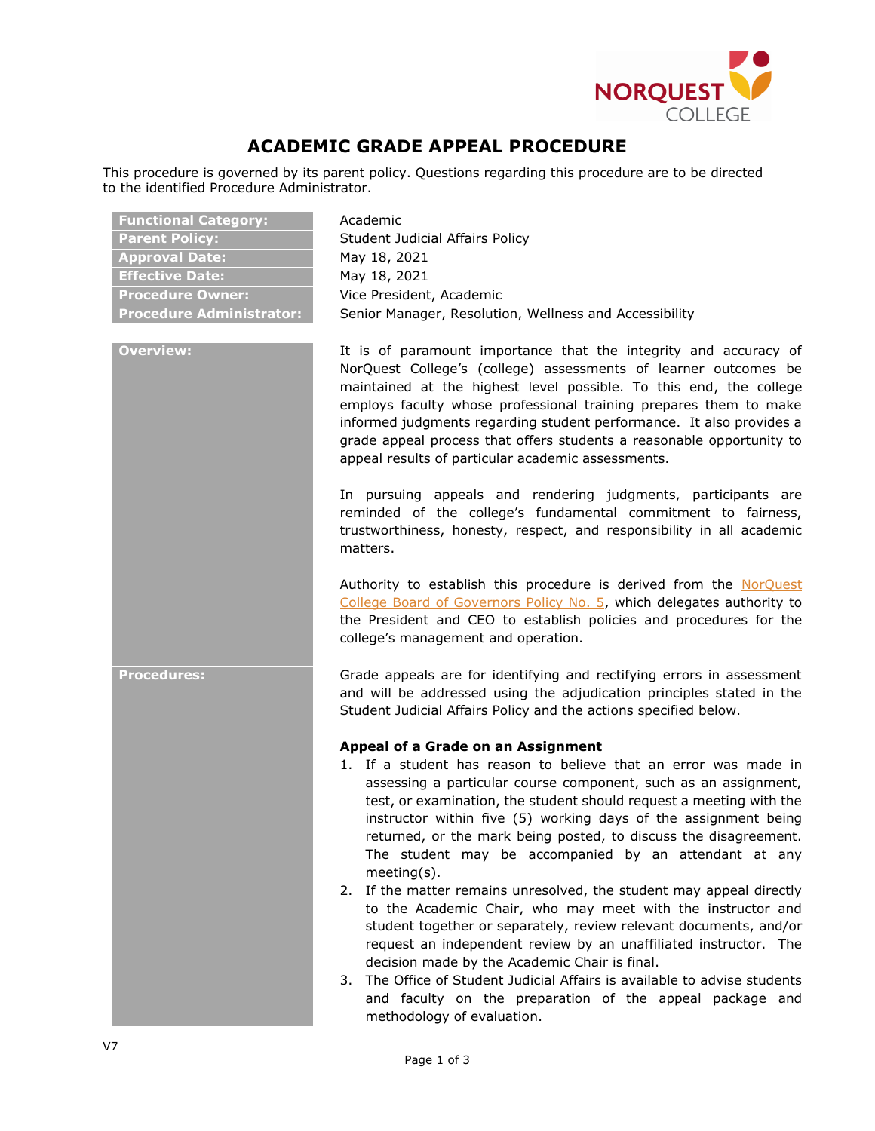

# **ACADEMIC GRADE APPEAL PROCEDURE**

This procedure is governed by its parent policy. Questions regarding this procedure are to be directed to the identified Procedure Administrator.

| <b>Functional Category:</b>     | Academic                                                                                                                                                                                                                                                                                                                                                                                                                                                                                                                                                                                                                                                                                                                                                                                                                                                                                                                                                                  |  |
|---------------------------------|---------------------------------------------------------------------------------------------------------------------------------------------------------------------------------------------------------------------------------------------------------------------------------------------------------------------------------------------------------------------------------------------------------------------------------------------------------------------------------------------------------------------------------------------------------------------------------------------------------------------------------------------------------------------------------------------------------------------------------------------------------------------------------------------------------------------------------------------------------------------------------------------------------------------------------------------------------------------------|--|
| <b>Parent Policy:</b>           | Student Judicial Affairs Policy                                                                                                                                                                                                                                                                                                                                                                                                                                                                                                                                                                                                                                                                                                                                                                                                                                                                                                                                           |  |
| <b>Approval Date:</b>           | May 18, 2021                                                                                                                                                                                                                                                                                                                                                                                                                                                                                                                                                                                                                                                                                                                                                                                                                                                                                                                                                              |  |
| <b>Effective Date:</b>          | May 18, 2021                                                                                                                                                                                                                                                                                                                                                                                                                                                                                                                                                                                                                                                                                                                                                                                                                                                                                                                                                              |  |
| <b>Procedure Owner:</b>         | Vice President, Academic                                                                                                                                                                                                                                                                                                                                                                                                                                                                                                                                                                                                                                                                                                                                                                                                                                                                                                                                                  |  |
| <b>Procedure Administrator:</b> | Senior Manager, Resolution, Wellness and Accessibility                                                                                                                                                                                                                                                                                                                                                                                                                                                                                                                                                                                                                                                                                                                                                                                                                                                                                                                    |  |
| <b>Overview:</b>                | It is of paramount importance that the integrity and accuracy of<br>NorQuest College's (college) assessments of learner outcomes be<br>maintained at the highest level possible. To this end, the college<br>employs faculty whose professional training prepares them to make<br>informed judgments regarding student performance. It also provides a<br>grade appeal process that offers students a reasonable opportunity to<br>appeal results of particular academic assessments.                                                                                                                                                                                                                                                                                                                                                                                                                                                                                     |  |
|                                 | In pursuing appeals and rendering judgments, participants are<br>reminded of the college's fundamental commitment to fairness,<br>trustworthiness, honesty, respect, and responsibility in all academic<br>matters.                                                                                                                                                                                                                                                                                                                                                                                                                                                                                                                                                                                                                                                                                                                                                       |  |
|                                 | Authority to establish this procedure is derived from the NorQuest<br>College Board of Governors Policy No. 5, which delegates authority to<br>the President and CEO to establish policies and procedures for the<br>college's management and operation.                                                                                                                                                                                                                                                                                                                                                                                                                                                                                                                                                                                                                                                                                                                  |  |
| <b>Procedures:</b>              | Grade appeals are for identifying and rectifying errors in assessment<br>and will be addressed using the adjudication principles stated in the<br>Student Judicial Affairs Policy and the actions specified below.                                                                                                                                                                                                                                                                                                                                                                                                                                                                                                                                                                                                                                                                                                                                                        |  |
|                                 | Appeal of a Grade on an Assignment<br>1. If a student has reason to believe that an error was made in<br>assessing a particular course component, such as an assignment,<br>test, or examination, the student should request a meeting with the<br>instructor within five (5) working days of the assignment being<br>returned, or the mark being posted, to discuss the disagreement.<br>The student may be accompanied by an attendant at any<br>$meeting(s)$ .<br>2. If the matter remains unresolved, the student may appeal directly<br>to the Academic Chair, who may meet with the instructor and<br>student together or separately, review relevant documents, and/or<br>request an independent review by an unaffiliated instructor. The<br>decision made by the Academic Chair is final.<br>3. The Office of Student Judicial Affairs is available to advise students<br>and faculty on the preparation of the appeal package and<br>methodology of evaluation. |  |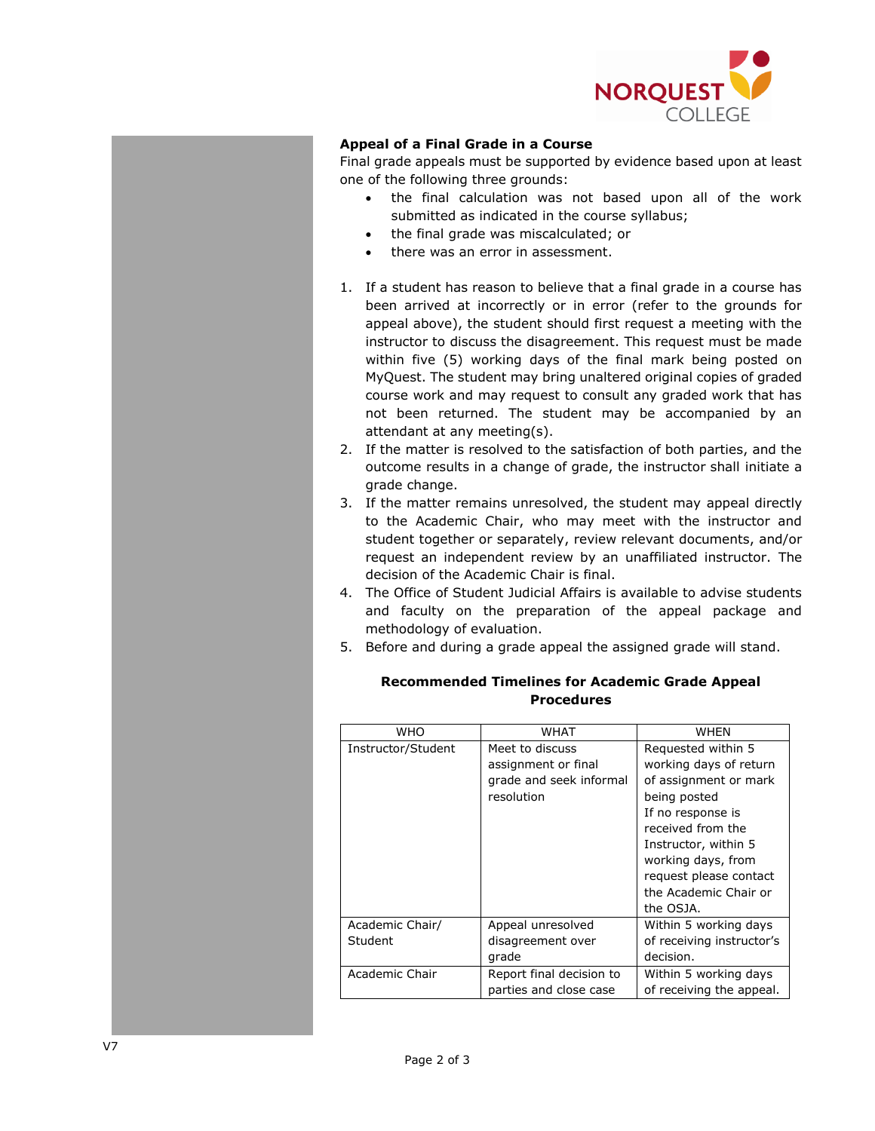

## **Appeal of a Final Grade in a Course**

Final grade appeals must be supported by evidence based upon at least one of the following three grounds:

- the final calculation was not based upon all of the work submitted as indicated in the course syllabus;
- the final grade was miscalculated; or
- there was an error in assessment.
- 1. If a student has reason to believe that a final grade in a course has been arrived at incorrectly or in error (refer to the grounds for appeal above), the student should first request a meeting with the instructor to discuss the disagreement. This request must be made within five (5) working days of the final mark being posted on MyQuest. The student may bring unaltered original copies of graded course work and may request to consult any graded work that has not been returned. The student may be accompanied by an attendant at any meeting(s).
- 2. If the matter is resolved to the satisfaction of both parties, and the outcome results in a change of grade, the instructor shall initiate a grade change.
- 3. If the matter remains unresolved, the student may appeal directly to the Academic Chair, who may meet with the instructor and student together or separately, review relevant documents, and/or request an independent review by an unaffiliated instructor. The decision of the Academic Chair is final.
- 4. The Office of Student Judicial Affairs is available to advise students and faculty on the preparation of the appeal package and methodology of evaluation.
- 5. Before and during a grade appeal the assigned grade will stand.

### **Recommended Timelines for Academic Grade Appeal Procedures**

| <b>WHO</b>         | <b>WHAT</b>              | WHEN                      |
|--------------------|--------------------------|---------------------------|
| Instructor/Student | Meet to discuss          | Requested within 5        |
|                    | assignment or final      | working days of return    |
|                    | grade and seek informal  | of assignment or mark     |
|                    | resolution               | being posted              |
|                    |                          | If no response is         |
|                    |                          | received from the         |
|                    |                          | Instructor, within 5      |
|                    |                          | working days, from        |
|                    |                          | request please contact    |
|                    |                          | the Academic Chair or     |
|                    |                          | the OSJA.                 |
| Academic Chair/    | Appeal unresolved        | Within 5 working days     |
| Student            | disagreement over        | of receiving instructor's |
|                    | grade                    | decision.                 |
| Academic Chair     | Report final decision to | Within 5 working days     |
|                    | parties and close case   | of receiving the appeal.  |